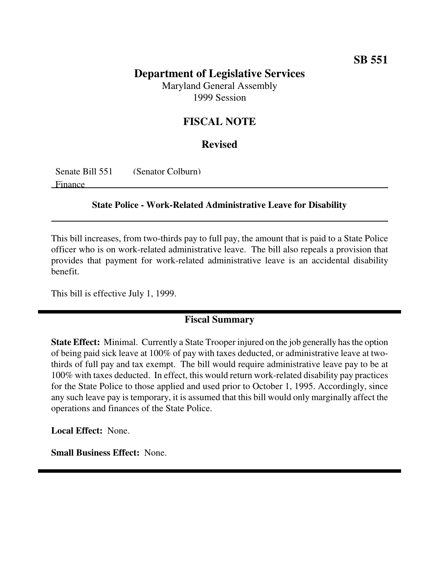# **Department of Legislative Services**

Maryland General Assembly 1999 Session

## **FISCAL NOTE**

#### **Revised**

Senate Bill 551 (Senator Colburn)

Finance

#### **State Police - Work-Related Administrative Leave for Disability**

This bill increases, from two-thirds pay to full pay, the amount that is paid to a State Police officer who is on work-related administrative leave. The bill also repeals a provision that provides that payment for work-related administrative leave is an accidental disability benefit.

This bill is effective July 1, 1999.

### **Fiscal Summary**

**State Effect:** Minimal. Currently a State Trooper injured on the job generally has the option of being paid sick leave at 100% of pay with taxes deducted, or administrative leave at twothirds of full pay and tax exempt. The bill would require administrative leave pay to be at 100% with taxes deducted. In effect, this would return work-related disability pay practices for the State Police to those applied and used prior to October 1, 1995. Accordingly, since any such leave pay is temporary, it is assumed that this bill would only marginally affect the operations and finances of the State Police.

**Local Effect:** None.

**Small Business Effect:** None.